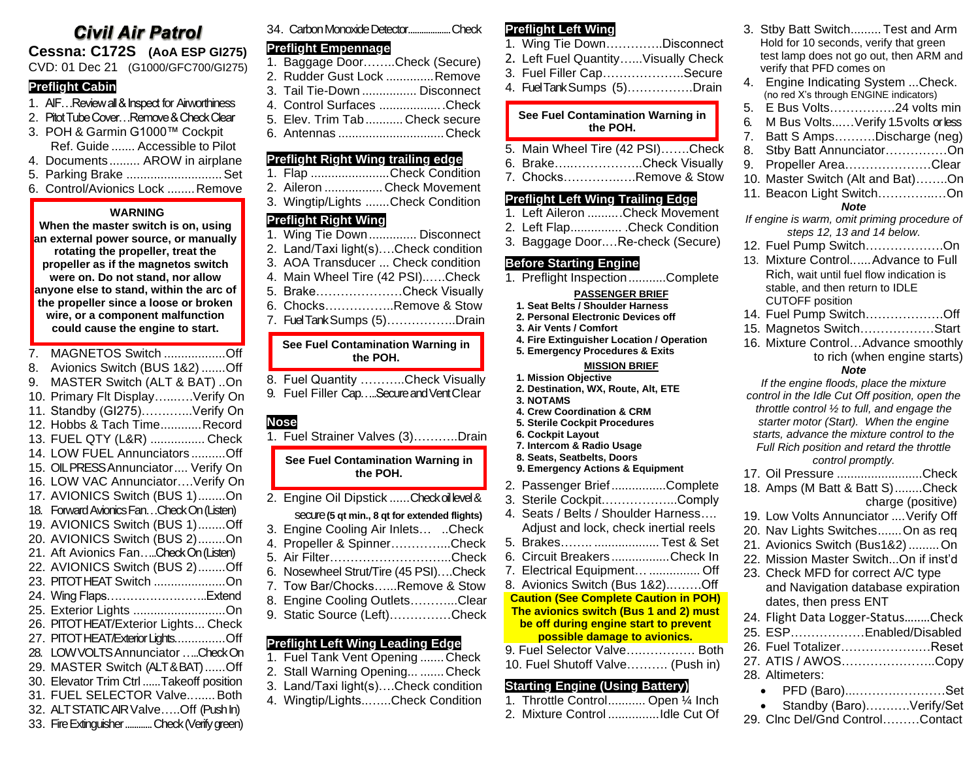# **Civil Air Patrol**

**Cessna: C172S (AoA ESP GI275)** CVD: 01 Dec 21 (G1000/GFC700/GI275)

#### **Preflight Cabin**

- 1. AIF…Review all & Inspect for Airworthiness
- 2. Pitot Tube Cover…Remove & Check Clear
- 3. POH & Garmin G1000™ Cockpit Ref. Guide ....... Accessible to Pilot
- 4. Documents......... AROW in airplane
- 5. Parking Brake ............................Set
- 6. Control/Avionics Lock ........Remove

#### **WARNING**

**When the master switch is on, using an external power source, or manually rotating the propeller, treat the propeller as if the magnetos switch were on. Do not stand, nor allow anyone else to stand, within the arc of the propeller since a loose or broken wire, or a component malfunction could cause the engine to start.**

7. MAGNETOS Switch ..................Off 8. Avionics Switch (BUS 1&2) .......Off 9. MASTER Switch (ALT & BAT) ..On 10. Primary Flt Display…...….Verify On 11. Standby (GI275)…….…...Verify On 12. Hobbs & Tach Time............Record 13. FUEL QTY (L&R) ................ Check 14. LOW FUEL Annunciators ..........Off 15. OIL PRESS Annunciator.... Verify On 16. LOW VAC Annunciator….Verify On 17. AVIONICS Switch (BUS 1)........On 18. Forward Avionics Fan…CheckOn(Listen) 19. AVIONICS Switch (BUS 1)........Off 20. AVIONICS Switch (BUS 2)........On 21. Aft Avionics Fan…..Check On(Listen) 22. AVIONICS Switch (BUS 2)........Off 23. PITOT HEAT Switch .....................On 24. Wing Flaps……………………..Extend 25. Exterior Lights ...........................On 26. PITOT HEAT/Exterior Lights... Check 27. PITOT HEAT/Exterior Lights...............Off 28. LOW VOLTS Annunciator …..Check On 29. MASTER Switch (ALT & BAT)......Off 30. Elevator Trim Ctrl ......Takeoff position 31. FUEL SELECTOR Valve........Both 32. ALT STATIC AIR Valve…..Off (Push In) 33. Fire Extinguisher............Check (Verify green)

|  | 34. Carbon Monoxide DetectorCheck |  |
|--|-----------------------------------|--|
|--|-----------------------------------|--|

## **Preflight Empennage**

- 1. Baggage Door……..Check (Secure) 2. Rudder Gust Lock ..............Remove 3. Tail Tie-Down ................ Disconnect 4. Control Surfaces ...................Check
- 5. Elev. Trim Tab........... Check secure
- 6. Antennas ...............................Check

#### **Preflight Right Wing trailing edge**

| Preflight Right Wing trailing edge<br>1. Flap Check Condition<br>2. Aileron  Check Movement                                                                                                                                                                      |
|------------------------------------------------------------------------------------------------------------------------------------------------------------------------------------------------------------------------------------------------------------------|
| 3. Wingtip/Lights Check Condition                                                                                                                                                                                                                                |
| <b>Preflight Right Wing</b><br>1. Wing Tie Down  Disconnect<br>2. Land/Taxi light(s)Check condition<br>3. AOA Transducer  Check condition<br>4. Main Wheel Tire (42 PSI)Check<br>5. BrakeCheck Visually<br>6. ChocksRemove & Stow<br>7. Fuel Tank Sumps (5)Drain |
| See Fuel Contamination Warning in<br>the POH.                                                                                                                                                                                                                    |
| 8. Fuel Quantity Check Visually<br>9. Fuel Filler CapSecure and Vent Clear                                                                                                                                                                                       |
|                                                                                                                                                                                                                                                                  |

**See Fuel Contamination Warning in the POH.**

2. Engine Oil Dipstick ......Check oil level & secure**(5 qt min., 8 qt for extended flights)** 3. Engine Cooling Air Inlets… ..Check 4. Propeller & Spinner…………...Check 5. Air Filter………………………...Check

- 6. Nosewheel Strut/Tire (45 PSI)….Check
- 7. Tow Bar/Chocks…...Remove & Stow
- 8. Engine Cooling Outlets………...Clear
- 9. Static Source (Left)……………Check
- **Preflight Left Wing Leading Edge**
- 1. Fuel Tank Vent Opening ....... Check 2. Stall Warning Opening... .......Check
- 3. Land/Taxi light(s)….Check condition
- 4. Wingtip/Lights..…...Check Condition

## **Preflight Left Wing**

- 1. Wing Tie Down…………..Disconnect 2. Left Fuel Quantity…...Visually Check 3. Fuel Filler Cap………………..Secure
- 4. Fuel Tank Sumps (5)…………….Drain

#### **See Fuel Contamination Warning in the POH.**

- 5. Main Wheel Tire (42 PSI)…….Check
- 6. Brake…..……………..Check Visually
- 7. Chocks…………..….Remove & Stow

## **Preflight Left Wing Trailing Edge**

|  | 1. Left Aileron Check Movement                                                                                       |
|--|----------------------------------------------------------------------------------------------------------------------|
|  | 2. Left FlapCheck Condition                                                                                          |
|  | $\circ$ . The set of $\circ$ is the set of $\circ$ is the set of $\circ$ is the set of $\circ$ is the set of $\circ$ |

3. Baggage Door.…Re-check (Secure)

#### **Before Starting Engine**

1. Preflight Inspection...........Complete

#### **PASSENGER BRIEF**

- **1. Seat Belts / Shoulder Harness**
- **2. Personal Electronic Devices off**
- **3. Air Vents / Comfort**
- **4. Fire Extinguisher Location / Operation 5. Emergency Procedures & Exits**

## **MISSION BRIEF**

- **1. Mission Objective**
- **2. Destination, WX, Route, Alt, ETE**
- **3. NOTAMS**
- **4. Crew Coordination & CRM**
- **5. Sterile Cockpit Procedures**
- **6. Cockpit Layout**
- **7. Intercom & Radio Usage 8. Seats, Seatbelts, Doors**
- **9. Emergency Actions & Equipment**
- 2. Passenger Brief................Complete
- 3. Sterile Cockpit.……………...Comply
- 4. Seats / Belts / Shoulder Harness…. Adjust and lock, check inertial reels
- 5. Brakes…….. ................... Test & Set
- 6. Circuit Breakers .................Check In
- 7. Electrical Equipment…............... Off
- 8. Avionics Switch (Bus 1&2)..…….Off

#### **Caution (See Complete Caution in POH) The avionics switch (Bus 1 and 2) must be off during engine start to prevent**

### **possible damage to avionics.**

9. Fuel Selector Valve….…………. Both 10. Fuel Shutoff Valve………. (Push in)

## **Starting Engine (Using Battery)**

| 1. Throttle Control Open 1/4 Inch |                             |
|-----------------------------------|-----------------------------|
| 2 Mivture Control                 | $1.41 \circ 2.14 \circ 1.4$ |

- 2. Mixture Control ...............Idle Cut Of
- 3. Stby Batt Switch......... Test and Arm Hold for 10 seconds, verify that green test lamp does not go out, then ARM and verify that PFD comes on 4. Engine Indicating System ...Check. (no red X's through ENGINE indicators) 5. E Bus Volts…………….24 volts min 6. M Bus Volts...…Verify 1.5 volts or less 7. Batt S Amps……….Discharge (neg) 8. Stby Batt Annunciator……………On 9. Propeller Area…………………Clear 10. Master Switch (Alt and Bat)……..On 11. Beacon Light Switch…………..…On *Note If engine is warm, omit priming procedure of steps 12, 13 and 14 below.* 12. Fuel Pump Switch……………….On 13. Mixture Control......Advance to Full Rich, wait until fuel flow indication is stable, and then return to IDLE CUTOFF position 14. Fuel Pump Switch……………….Off 15. Magnetos Switch………………Start 16. Mixture Control…Advance smoothly to rich (when engine starts) *Note If the engine floods, place the mixture control in the Idle Cut Off position, open the throttle control ½ to full, and engage the starter motor (Start). When the engine starts, advance the mixture control to the Full Rich position and retard the throttle control promptly.* 17. Oil Pressure .........................Check 18. Amps (M Batt & Batt S)........Check charge (positive) 19. Low Volts Annunciator ....Verify Off 20. Nav Lights Switches.......On as req 21. Avionics Switch (Bus1&2).........On 22. Mission Master Switch...On if inst'd 23. Check MFD for correct A/C type and Navigation database expiration dates, then press ENT 24. Flight Data Logger-Status…..…Check 25. ESP………………Enabled/Disabled 26. Fuel Totalizer……………….…Reset
- 27. ATIS / AWOS…………………..Copy 28. Altimeters:
	- PFD (Baro)...……….…………Set
	- Standby (Baro)…….….Verify/Set
- 29. Clnc Del/Gnd Control………Contact